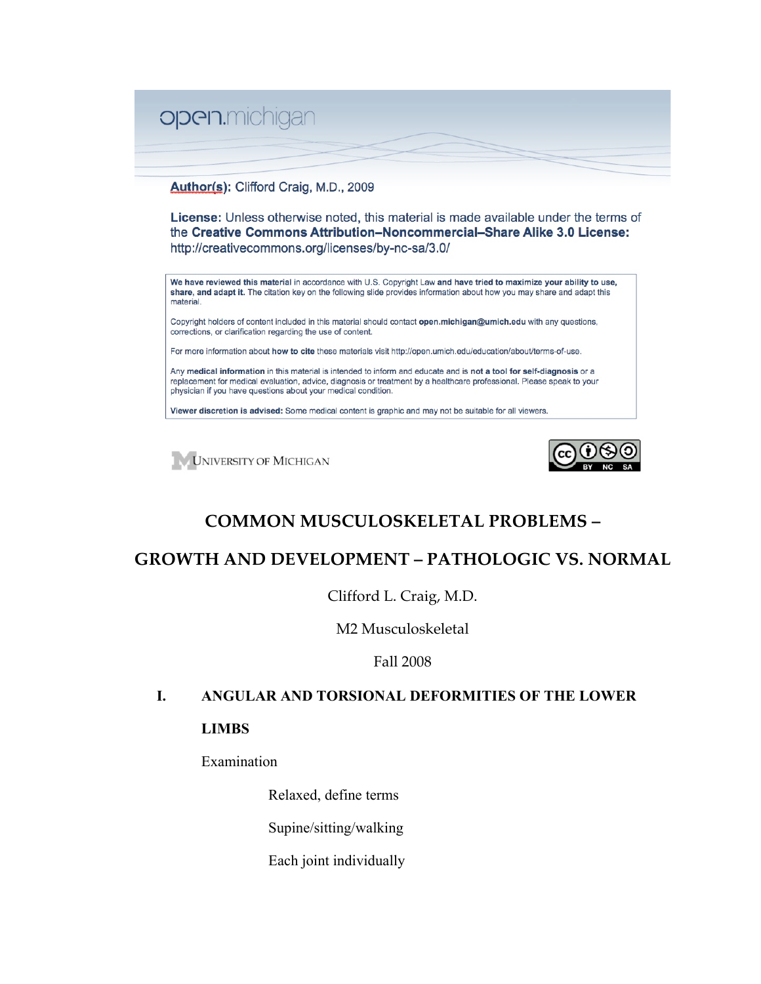

#### Author(s): Clifford Craig, M.D., 2009

**License:** Unless otherwise noted, this material is made available under the terms of the Creative Commons Attribution-Noncommercial-Share Alike 3.0 License: http://creativecommons.org/licenses/by-nc-sa/3.0/

We have reviewed this material in accordance with U.S. Copyright Law and have tried to maximize your ability to use, share, and adapt it. The citation key on the following slide provides information about how you may share and adapt this material.

Copyright holders of content included in this material should contact open.michigan@umich.edu with any questions, corrections, or clarification regarding the use of content.

For more information about how to cite these materials visit http://open.umich.edu/education/about/terms-of-use.

Any medical information in this material is intended to inform and educate and is not a tool for self-diagnosis or a replacement for medical evaluation, advice, diagnosis or treatment by a healthcare professional. Please speak to your physician if you have questions about your medical condition.

Viewer discretion is advised: Some medical content is graphic and may not be suitable for all viewers.





# **COMMON MUSCULOSKELETAL PROBLEMS –**

# **GROWTH AND DEVELOPMENT – PATHOLOGIC VS. NORMAL**

Clifford L. Craig, M.D.

M2 Musculoskeletal

Fall 2008

## **I. ANGULAR AND TORSIONAL DEFORMITIES OF THE LOWER**

#### **LIMBS**

Examination

Relaxed, define terms

Supine/sitting/walking

Each joint individually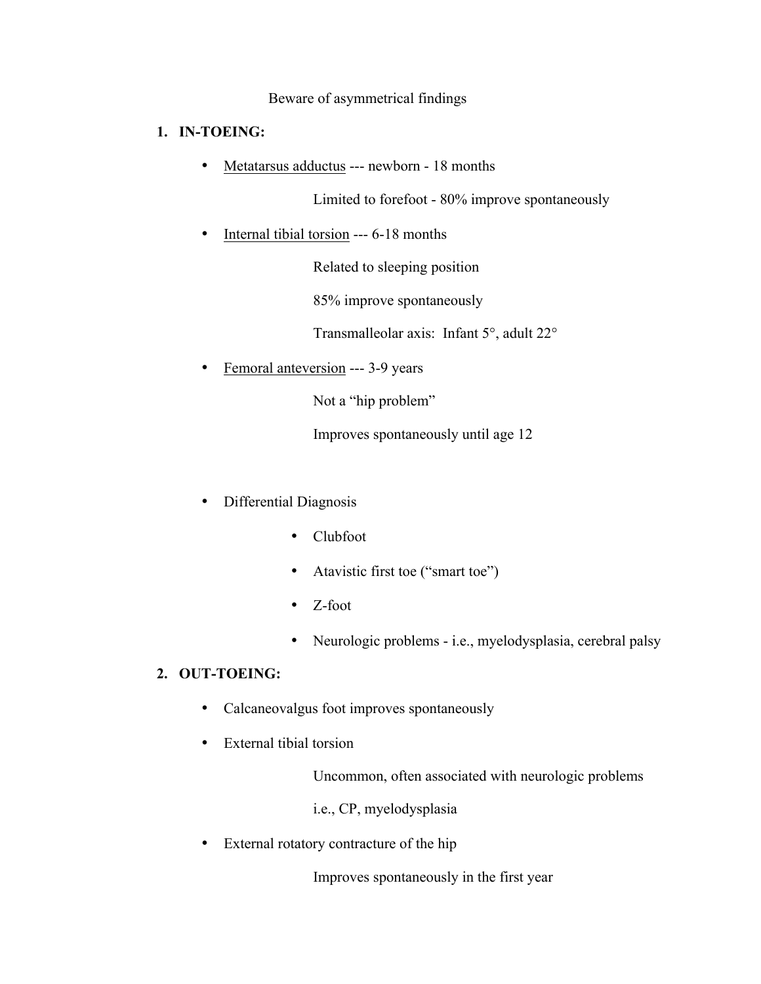#### Beware of asymmetrical findings

#### **1. IN-TOEING:**

• Metatarsus adductus --- newborn - 18 months

Limited to forefoot - 80% improve spontaneously

Internal tibial torsion --- 6-18 months

Related to sleeping position

85% improve spontaneously

Transmalleolar axis: Infant 5°, adult 22°

• Femoral anteversion --- 3-9 years

Not a "hip problem"

Improves spontaneously until age 12

- Differential Diagnosis
	- Clubfoot
	- Atavistic first toe ("smart toe")
	- Z-foot
	- Neurologic problems i.e., myelodysplasia, cerebral palsy

### **2. OUT-TOEING:**

- Calcaneovalgus foot improves spontaneously
- External tibial torsion

Uncommon, often associated with neurologic problems

i.e., CP, myelodysplasia

• External rotatory contracture of the hip

Improves spontaneously in the first year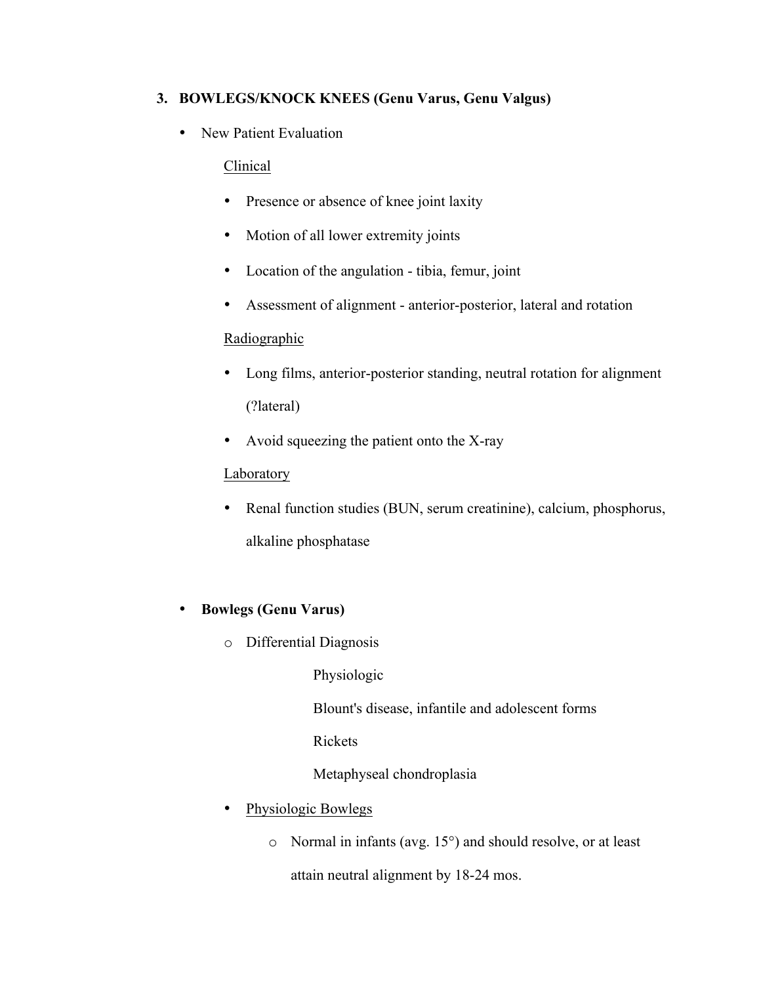## **3. BOWLEGS/KNOCK KNEES (Genu Varus, Genu Valgus)**

• New Patient Evaluation

### Clinical

- Presence or absence of knee joint laxity
- Motion of all lower extremity joints
- Location of the angulation tibia, femur, joint
- Assessment of alignment anterior-posterior, lateral and rotation

## **Radiographic**

- Long films, anterior-posterior standing, neutral rotation for alignment (?lateral)
- Avoid squeezing the patient onto the X-ray

## Laboratory

• Renal function studies (BUN, serum creatinine), calcium, phosphorus, alkaline phosphatase

## • **Bowlegs (Genu Varus)**

o Differential Diagnosis

Physiologic

Blount's disease, infantile and adolescent forms

Rickets

Metaphyseal chondroplasia

- Physiologic Bowlegs
	- o Normal in infants (avg. 15°) and should resolve, or at least attain neutral alignment by 18-24 mos.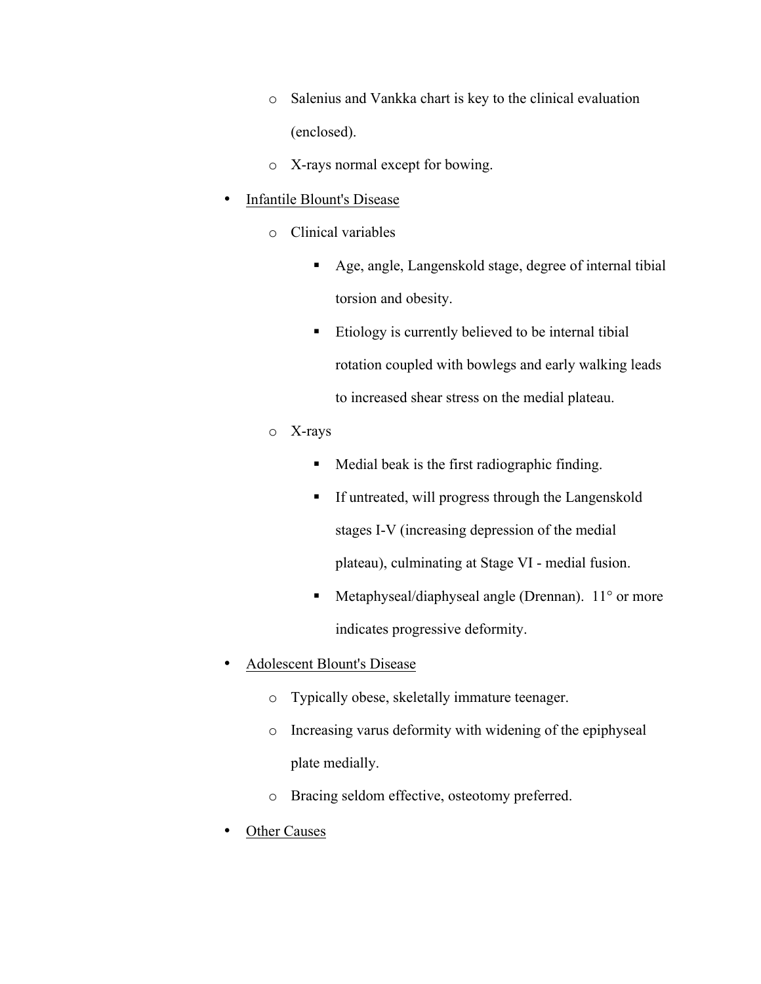- o Salenius and Vankka chart is key to the clinical evaluation (enclosed).
- o X-rays normal except for bowing.

#### • Infantile Blount's Disease

- o Clinical variables
	- Age, angle, Langenskold stage, degree of internal tibial torsion and obesity.
	- $\blacksquare$  Etiology is currently believed to be internal tibial rotation coupled with bowlegs and early walking leads to increased shear stress on the medial plateau.
- o X-rays
	- **Medial beak is the first radiographic finding.**
	- If untreated, will progress through the Langenskold stages I-V (increasing depression of the medial plateau), culminating at Stage VI - medial fusion.
	- Metaphyseal/diaphyseal angle (Drennan). 11° or more indicates progressive deformity.
- Adolescent Blount's Disease
	- o Typically obese, skeletally immature teenager.
	- o Increasing varus deformity with widening of the epiphyseal plate medially.
	- o Bracing seldom effective, osteotomy preferred.
- **Other Causes**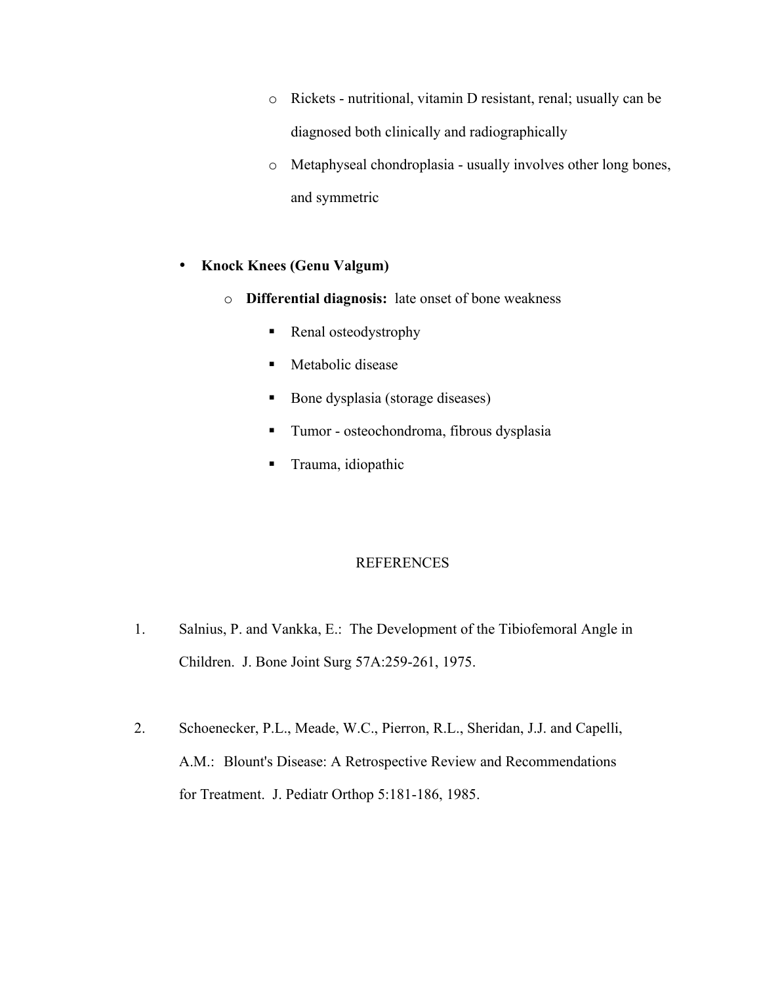- o Rickets nutritional, vitamin D resistant, renal; usually can be diagnosed both clinically and radiographically
- o Metaphyseal chondroplasia usually involves other long bones, and symmetric

#### • **Knock Knees (Genu Valgum)**

- o **Differential diagnosis:** late onset of bone weakness
	- Renal osteodystrophy
	- Metabolic disease
	- Bone dysplasia (storage diseases)
	- Tumor osteochondroma, fibrous dysplasia
	- **Trauma**, idiopathic

#### REFERENCES

- 1. Salnius, P. and Vankka, E.: The Development of the Tibiofemoral Angle in Children. J. Bone Joint Surg 57A:259-261, 1975.
- 2. Schoenecker, P.L., Meade, W.C., Pierron, R.L., Sheridan, J.J. and Capelli, A.M.: Blount's Disease: A Retrospective Review and Recommendations for Treatment. J. Pediatr Orthop 5:181-186, 1985.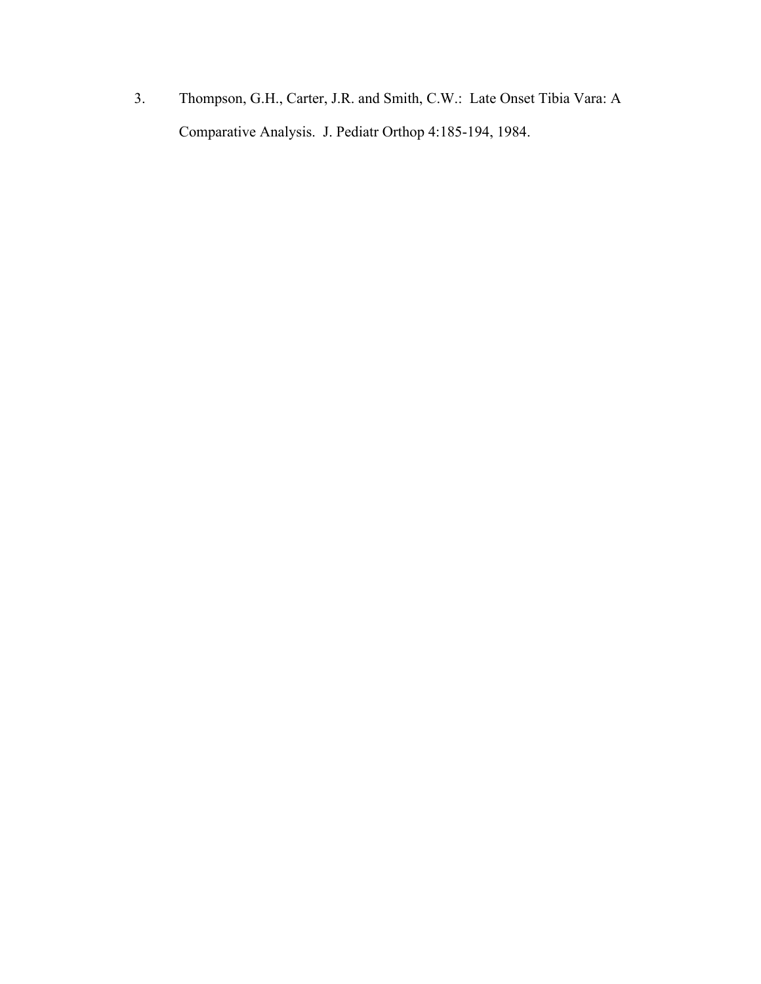3. Thompson, G.H., Carter, J.R. and Smith, C.W.: Late Onset Tibia Vara: A Comparative Analysis. J. Pediatr Orthop 4:185-194, 1984.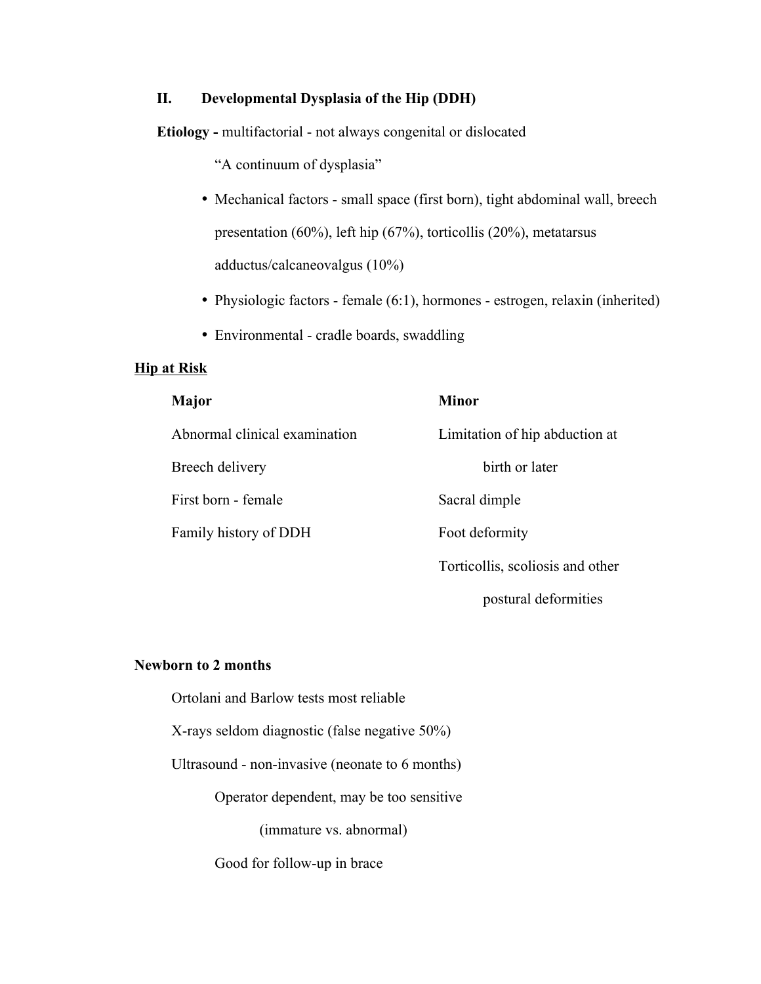#### **II. Developmental Dysplasia of the Hip (DDH)**

**Etiology -** multifactorial - not always congenital or dislocated

"A continuum of dysplasia"

- Mechanical factors small space (first born), tight abdominal wall, breech presentation (60%), left hip (67%), torticollis (20%), metatarsus adductus/calcaneovalgus (10%)
- Physiologic factors female (6:1), hormones estrogen, relaxin (inherited)
- Environmental cradle boards, swaddling

#### **Hip at Risk**

| Major                         | <b>Minor</b>                     |
|-------------------------------|----------------------------------|
| Abnormal clinical examination | Limitation of hip abduction at   |
| Breech delivery               | birth or later                   |
| First born - female           | Sacral dimple                    |
| Family history of DDH         | Foot deformity                   |
|                               | Torticollis, scoliosis and other |
|                               | postural deformities             |

### **Newborn to 2 months**

| Ortolani and Barlow tests most reliable<br>X-rays seldom diagnostic (false negative 50%)<br>Ultrasound - non-invasive (neonate to 6 months) |  |                                          |  |
|---------------------------------------------------------------------------------------------------------------------------------------------|--|------------------------------------------|--|
|                                                                                                                                             |  | Operator dependent, may be too sensitive |  |
|                                                                                                                                             |  | (immature vs. abnormal)                  |  |
|                                                                                                                                             |  |                                          |  |

Good for follow-up in brace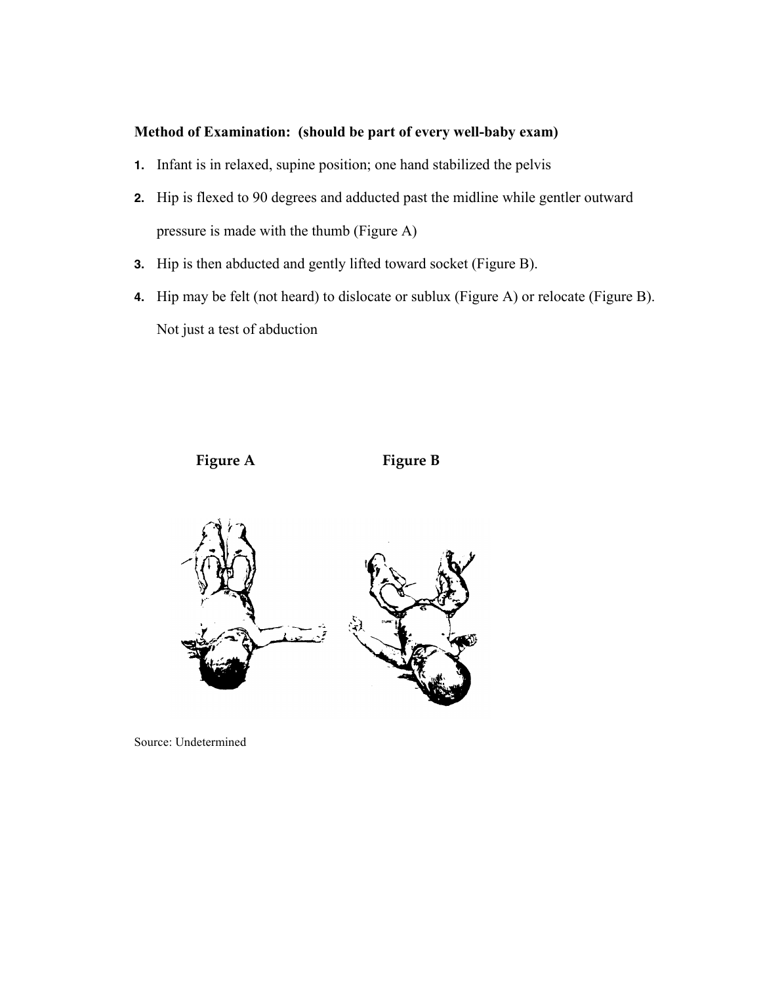## **Method of Examination: (should be part of every well-baby exam)**

- **1.** Infant is in relaxed, supine position; one hand stabilized the pelvis
- **2.** Hip is flexed to 90 degrees and adducted past the midline while gentler outward pressure is made with the thumb (Figure A)
- **3.** Hip is then abducted and gently lifted toward socket (Figure B).
- **4.** Hip may be felt (not heard) to dislocate or sublux (Figure A) or relocate (Figure B). Not just a test of abduction

Figure A Figure B



Source: Undetermined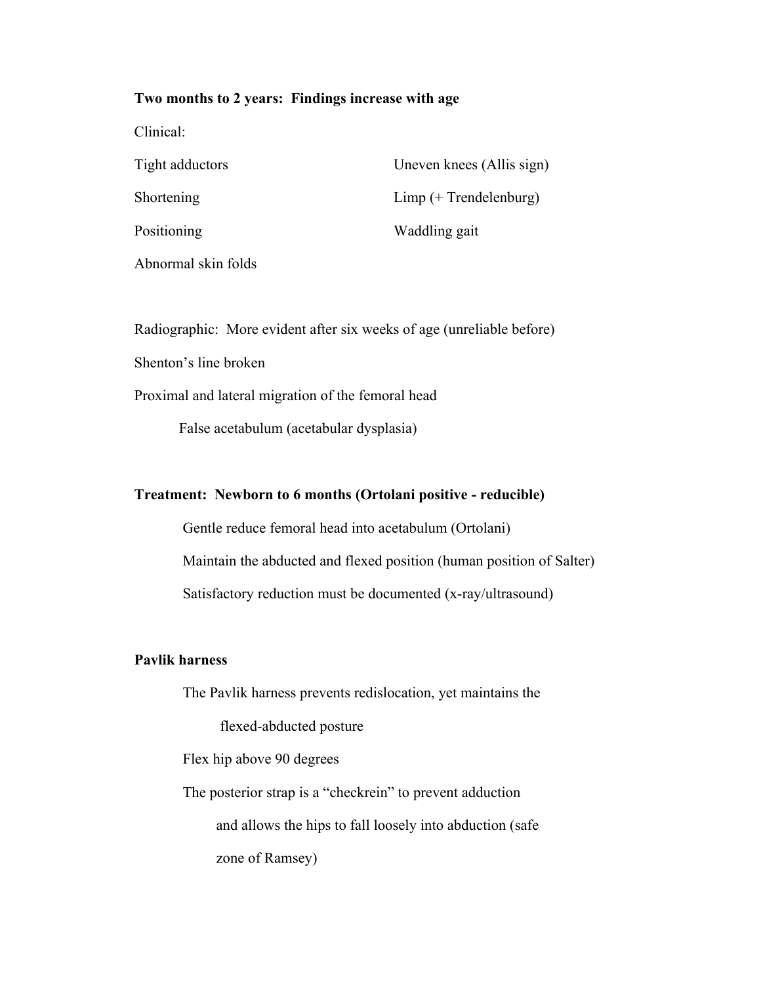#### **Two months to 2 years: Findings increase with age**

| Clinical:           |                           |
|---------------------|---------------------------|
| Tight adductors     | Uneven knees (Allis sign) |
| Shortening          | $Limp$ (+ Trendelenburg)  |
| Positioning         | Waddling gait             |
| Abnormal skin folds |                           |

Radiographic: More evident after six weeks of age (unreliable before)

Shenton's line broken

Proximal and lateral migration of the femoral head

False acetabulum (acetabular dysplasia)

#### **Treatment: Newborn to 6 months (Ortolani positive - reducible)**

 Gentle reduce femoral head into acetabulum (Ortolani) Maintain the abducted and flexed position (human position of Salter) Satisfactory reduction must be documented (x-ray/ultrasound)

#### **Pavlik harness**

 The Pavlik harness prevents redislocation, yet maintains the flexed-abducted posture Flex hip above 90 degrees The posterior strap is a "checkrein" to prevent adduction and allows the hips to fall loosely into abduction (safe zone of Ramsey)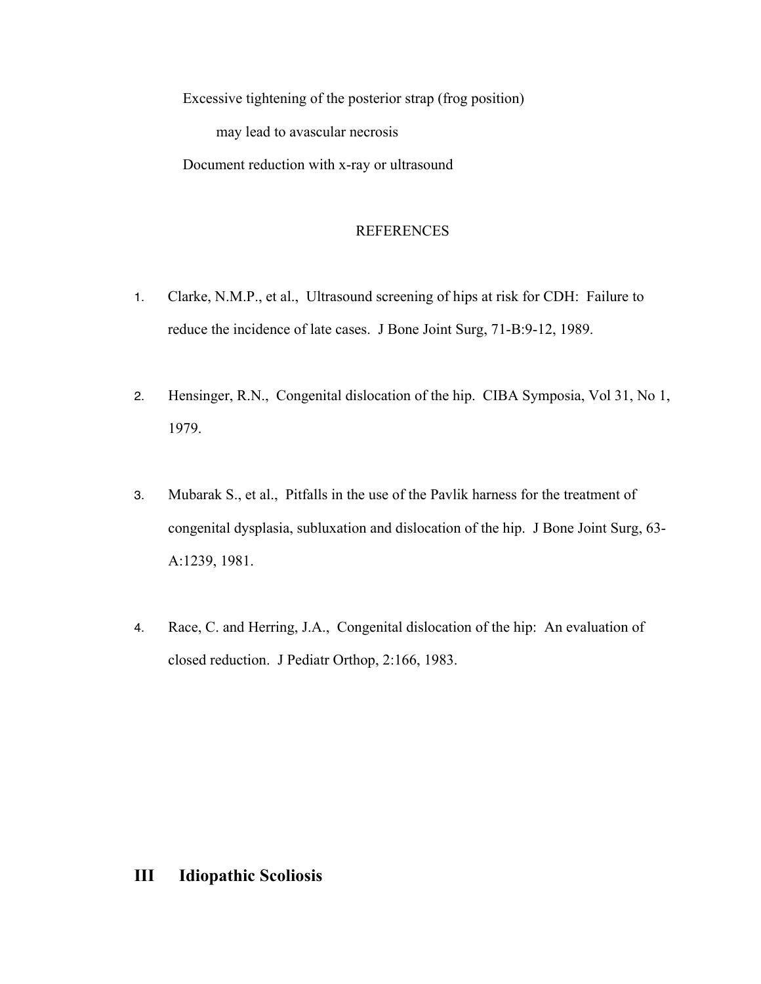Excessive tightening of the posterior strap (frog position) may lead to avascular necrosis Document reduction with x-ray or ultrasound

#### REFERENCES

- 1. Clarke, N.M.P., et al., Ultrasound screening of hips at risk for CDH: Failure to reduce the incidence of late cases. J Bone Joint Surg, 71-B:9-12, 1989.
- 2. Hensinger, R.N., Congenital dislocation of the hip. CIBA Symposia, Vol 31, No 1, 1979.
- 3. Mubarak S., et al., Pitfalls in the use of the Pavlik harness for the treatment of congenital dysplasia, subluxation and dislocation of the hip. J Bone Joint Surg, 63- A:1239, 1981.
- 4. Race, C. and Herring, J.A., Congenital dislocation of the hip: An evaluation of closed reduction. J Pediatr Orthop, 2:166, 1983.

## **III Idiopathic Scoliosis**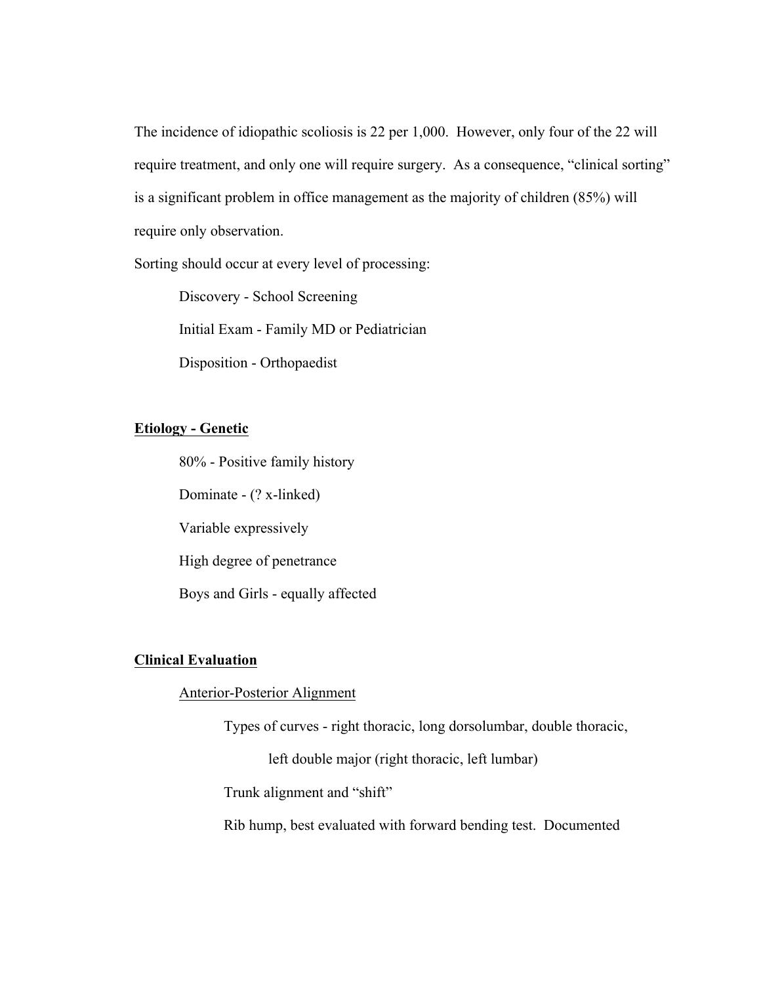The incidence of idiopathic scoliosis is 22 per 1,000. However, only four of the 22 will require treatment, and only one will require surgery. As a consequence, "clinical sorting" is a significant problem in office management as the majority of children (85%) will require only observation.

Sorting should occur at every level of processing:

Discovery - School Screening Initial Exam - Family MD or Pediatrician Disposition - Orthopaedist

#### **Etiology - Genetic**

80% - Positive family history Dominate - (? x-linked) Variable expressively High degree of penetrance Boys and Girls - equally affected

#### **Clinical Evaluation**

#### Anterior-Posterior Alignment

Types of curves - right thoracic, long dorsolumbar, double thoracic,

left double major (right thoracic, left lumbar)

Trunk alignment and "shift"

Rib hump, best evaluated with forward bending test. Documented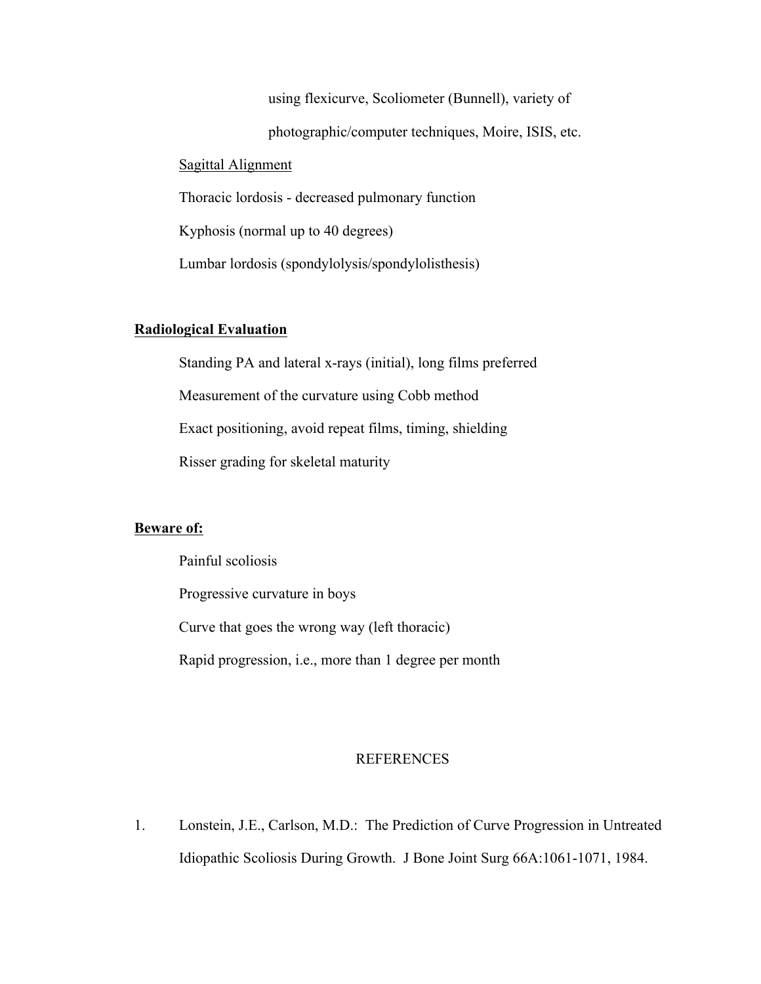using flexicurve, Scoliometer (Bunnell), variety of photographic/computer techniques, Moire, ISIS, etc. Sagittal Alignment Thoracic lordosis - decreased pulmonary function Kyphosis (normal up to 40 degrees) Lumbar lordosis (spondylolysis/spondylolisthesis)

#### **Radiological Evaluation**

Standing PA and lateral x-rays (initial), long films preferred Measurement of the curvature using Cobb method Exact positioning, avoid repeat films, timing, shielding Risser grading for skeletal maturity

#### **Beware of:**

Painful scoliosis Progressive curvature in boys Curve that goes the wrong way (left thoracic) Rapid progression, i.e., more than 1 degree per month

#### **REFERENCES**

1. Lonstein, J.E., Carlson, M.D.: The Prediction of Curve Progression in Untreated Idiopathic Scoliosis During Growth. J Bone Joint Surg 66A:1061-1071, 1984.